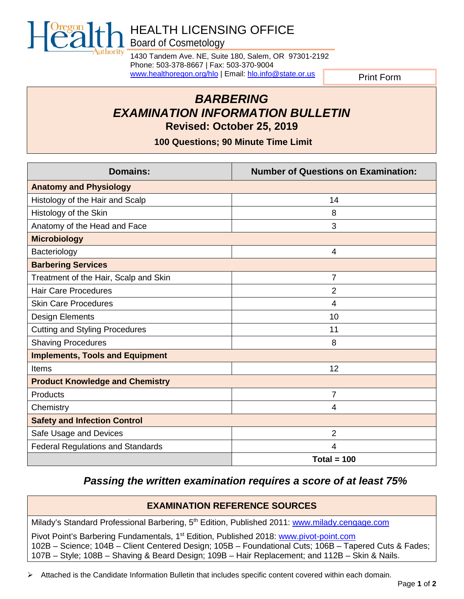

# HEALTH LICENSING OFFICE Board of Cosmetology

1430 Tandem Ave. NE, Suite 180, Salem, OR 97301-2192 Phone: 503-378-8667 | Fax: 503-370-9004 [www.healthoregon.org/hlo](http://www.oregon.gov/oha/hlo) | Email[: hlo.info@state.or.us](mailto:hlo.info@state.or.us)

Print Form

# *BARBERING EXAMINATION INFORMATION BULLETIN* **Revised: October 25, 2019**

**100 Questions; 90 Minute Time Limit**

| <b>Domains:</b>                          | <b>Number of Questions on Examination:</b> |
|------------------------------------------|--------------------------------------------|
| <b>Anatomy and Physiology</b>            |                                            |
| Histology of the Hair and Scalp          | 14                                         |
| Histology of the Skin                    | 8                                          |
| Anatomy of the Head and Face             | 3                                          |
| <b>Microbiology</b>                      |                                            |
| Bacteriology                             | 4                                          |
| <b>Barbering Services</b>                |                                            |
| Treatment of the Hair, Scalp and Skin    | 7                                          |
| <b>Hair Care Procedures</b>              | 2                                          |
| <b>Skin Care Procedures</b>              | 4                                          |
| <b>Design Elements</b>                   | 10                                         |
| <b>Cutting and Styling Procedures</b>    | 11                                         |
| <b>Shaving Procedures</b>                | 8                                          |
| <b>Implements, Tools and Equipment</b>   |                                            |
| Items                                    | 12                                         |
| <b>Product Knowledge and Chemistry</b>   |                                            |
| Products                                 | 7                                          |
| Chemistry                                | 4                                          |
| <b>Safety and Infection Control</b>      |                                            |
| Safe Usage and Devices                   | $\overline{2}$                             |
| <b>Federal Regulations and Standards</b> | 4                                          |
|                                          | Total = $100$                              |

# *Passing the written examination requires a score of at least 75%*

# **EXAMINATION REFERENCE SOURCES**

Milady's Standard Professional Barbering, 5<sup>th</sup> Edition, Published 2011: [www.milady.cengage.com](http://www.milady.cengage.com/index.asp)

Pivot Point's Barbering Fundamentals, 1<sup>st</sup> Edition, Published 2018: [www.pivot-point.com](http://www.pivot-point.com/) 102B – Science; 104B – Client Centered Design; 105B – Foundational Cuts; 106B – Tapered Cuts & Fades; 107B – Style; 108B – Shaving & Beard Design; 109B – Hair Replacement; and 112B – Skin & Nails.

Attached is the Candidate Information Bulletin that includes specific content covered within each domain.